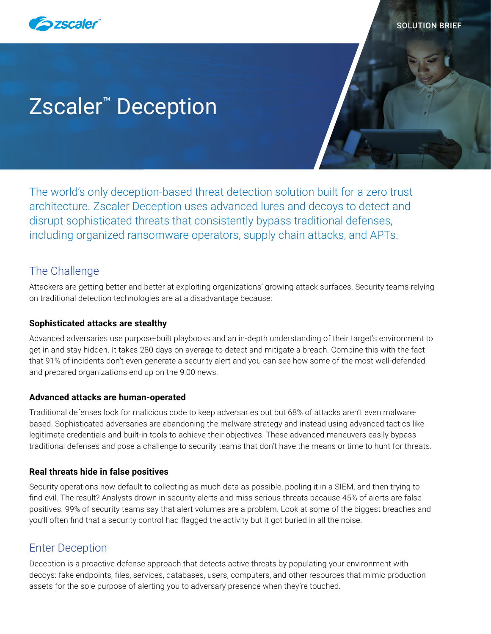

# Zscaler™ Deception

The world's only deception-based threat detection solution built for a zero trust architecture. Zscaler Deception uses advanced lures and decoys to detect and disrupt sophisticated threats that consistently bypass traditional defenses, including organized ransomware operators, supply chain attacks, and APTs.

# The Challenge

Attackers are getting better and better at exploiting organizations' growing attack surfaces. Security teams relying on traditional detection technologies are at a disadvantage because:

# **Sophisticated attacks are stealthy**

Advanced adversaries use purpose-built playbooks and an in-depth understanding of their target's environment to get in and stay hidden. It takes 280 days on average to detect and mitigate a breach. Combine this with the fact that 91% of incidents don't even generate a security alert and you can see how some of the most well-defended and prepared organizations end up on the 9:00 news.

# **Advanced attacks are human-operated**

Traditional defenses look for malicious code to keep adversaries out but 68% of attacks aren't even malwarebased. Sophisticated adversaries are abandoning the malware strategy and instead using advanced tactics like legitimate credentials and built-in tools to achieve their objectives. These advanced maneuvers easily bypass traditional defenses and pose a challenge to security teams that don't have the means or time to hunt for threats.

# **Real threats hide in false positives**

Security operations now default to collecting as much data as possible, pooling it in a SIEM, and then trying to find evil. The result? Analysts drown in security alerts and miss serious threats because 45% of alerts are false positives. 99% of security teams say that alert volumes are a problem. Look at some of the biggest breaches and you'll often find that a security control had flagged the activity but it got buried in all the noise.

# Enter Deception

Deception is a proactive defense approach that detects active threats by populating your environment with decoys: fake endpoints, files, services, databases, users, computers, and other resources that mimic production assets for the sole purpose of alerting you to adversary presence when they're touched.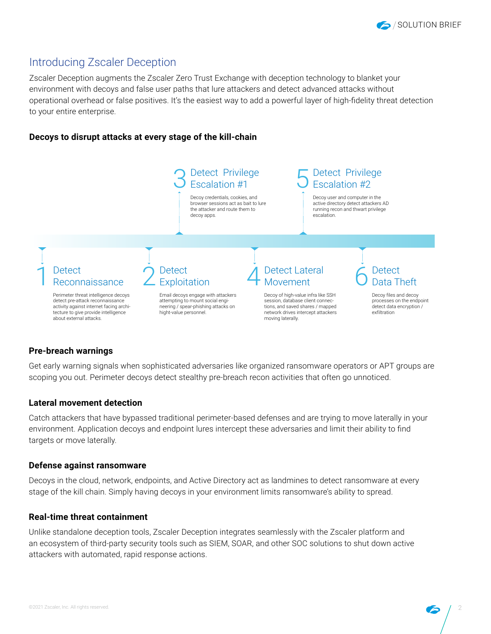

# Introducing Zscaler Deception

Zscaler Deception augments the Zscaler Zero Trust Exchange with deception technology to blanket your environment with decoys and false user paths that lure attackers and detect advanced attacks without operational overhead or false positives. It's the easiest way to add a powerful layer of high-fidelity threat detection to your entire enterprise.

# **Decoys to disrupt attacks at every stage of the kill-chain**



## **Pre-breach warnings**

Get early warning signals when sophisticated adversaries like organized ransomware operators or APT groups are scoping you out. Perimeter decoys detect stealthy pre-breach recon activities that often go unnoticed.

## **Lateral movement detection**

Catch attackers that have bypassed traditional perimeter-based defenses and are trying to move laterally in your environment. Application decoys and endpoint lures intercept these adversaries and limit their ability to find targets or move laterally.

#### **Defense against ransomware**

Decoys in the cloud, network, endpoints, and Active Directory act as landmines to detect ransomware at every stage of the kill chain. Simply having decoys in your environment limits ransomware's ability to spread.

#### **Real-time threat containment**

Unlike standalone deception tools, Zscaler Deception integrates seamlessly with the Zscaler platform and an ecosystem of third-party security tools such as SIEM, SOAR, and other SOC solutions to shut down active attackers with automated, rapid response actions.